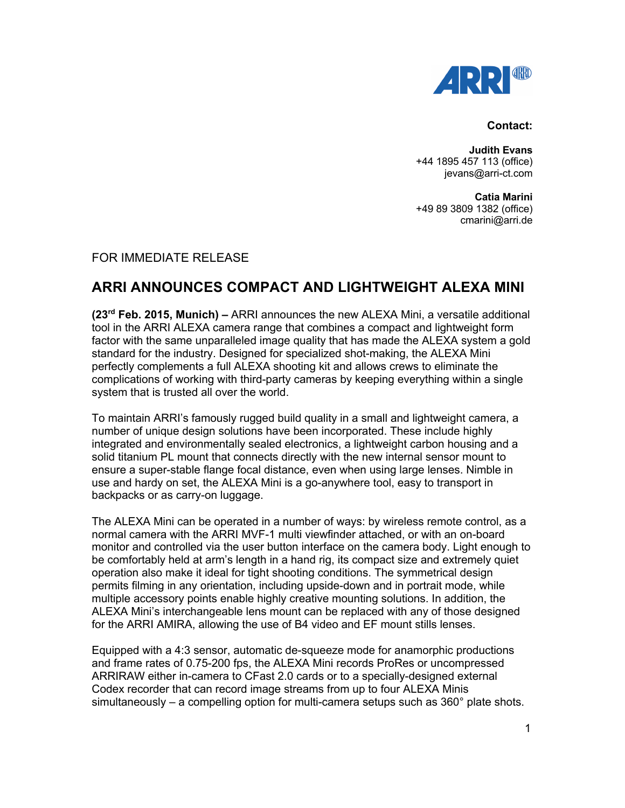

## **Contact:**

**Judith Evans** +44 1895 457 113 (office) jevans@arri-ct.com

**Catia Marini** +49 89 3809 1382 (office) cmarini@arri.de

## FOR IMMEDIATE RELEASE

## **ARRI ANNOUNCES COMPACT AND LIGHTWEIGHT ALEXA MINI**

**(23rd Feb. 2015, Munich) –** ARRI announces the new ALEXA Mini, a versatile additional tool in the ARRI ALEXA camera range that combines a compact and lightweight form factor with the same unparalleled image quality that has made the ALEXA system a gold standard for the industry. Designed for specialized shot-making, the ALEXA Mini perfectly complements a full ALEXA shooting kit and allows crews to eliminate the complications of working with third-party cameras by keeping everything within a single system that is trusted all over the world.

To maintain ARRI's famously rugged build quality in a small and lightweight camera, a number of unique design solutions have been incorporated. These include highly integrated and environmentally sealed electronics, a lightweight carbon housing and a solid titanium PL mount that connects directly with the new internal sensor mount to ensure a super-stable flange focal distance, even when using large lenses. Nimble in use and hardy on set, the ALEXA Mini is a go-anywhere tool, easy to transport in backpacks or as carry-on luggage.

The ALEXA Mini can be operated in a number of ways: by wireless remote control, as a normal camera with the ARRI MVF-1 multi viewfinder attached, or with an on-board monitor and controlled via the user button interface on the camera body. Light enough to be comfortably held at arm's length in a hand rig, its compact size and extremely quiet operation also make it ideal for tight shooting conditions. The symmetrical design permits filming in any orientation, including upside-down and in portrait mode, while multiple accessory points enable highly creative mounting solutions. In addition, the ALEXA Mini's interchangeable lens mount can be replaced with any of those designed for the ARRI AMIRA, allowing the use of B4 video and EF mount stills lenses.

Equipped with a 4:3 sensor, automatic de-squeeze mode for anamorphic productions and frame rates of 0.75-200 fps, the ALEXA Mini records ProRes or uncompressed ARRIRAW either in-camera to CFast 2.0 cards or to a specially-designed external Codex recorder that can record image streams from up to four ALEXA Minis simultaneously – a compelling option for multi-camera setups such as  $360^\circ$  plate shots.